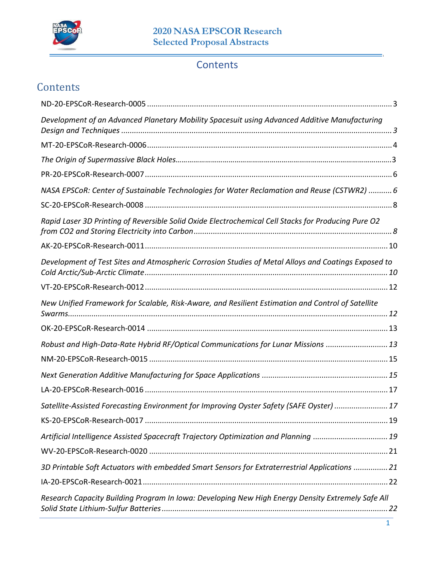

# **Contents**

# **Contents**

| Development of an Advanced Planetary Mobility Spacesuit using Advanced Additive Manufacturing       |
|-----------------------------------------------------------------------------------------------------|
|                                                                                                     |
|                                                                                                     |
|                                                                                                     |
| NASA EPSCoR: Center of Sustainable Technologies for Water Reclamation and Reuse (CSTWR2)  6         |
|                                                                                                     |
| Rapid Laser 3D Printing of Reversible Solid Oxide Electrochemical Cell Stacks for Producing Pure O2 |
|                                                                                                     |
| Development of Test Sites and Atmospheric Corrosion Studies of Metal Alloys and Coatings Exposed to |
|                                                                                                     |
| New Unified Framework for Scalable, Risk-Aware, and Resilient Estimation and Control of Satellite   |
|                                                                                                     |
| Robust and High-Data-Rate Hybrid RF/Optical Communications for Lunar Missions  13                   |
|                                                                                                     |
|                                                                                                     |
|                                                                                                     |
| Satellite-Assisted Forecasting Environment for Improving Oyster Safety (SAFE Oyster)  17            |
|                                                                                                     |
| Artificial Intelligence Assisted Spacecraft Trajectory Optimization and Planning  19                |
|                                                                                                     |
| 3D Printable Soft Actuators with embedded Smart Sensors for Extraterrestrial Applications  21       |
|                                                                                                     |
| Research Capacity Building Program In Iowa: Developing New High Energy Density Extremely Safe All   |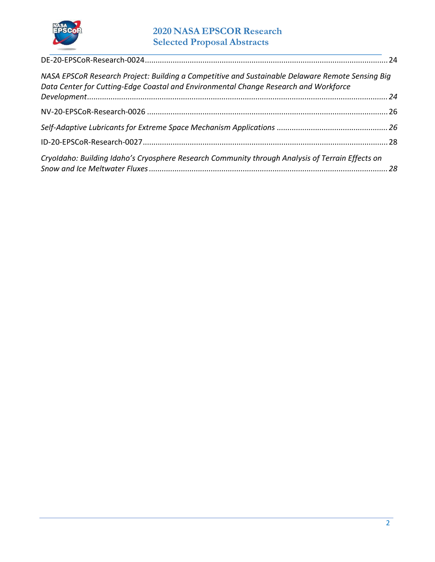

## **2020 NASA EPSCOR Research Selected Proposal Abstracts**

| NASA EPSCoR Research Project: Building a Competitive and Sustainable Delaware Remote Sensing Big<br>Data Center for Cutting-Edge Coastal and Environmental Change Research and Workforce |  |
|------------------------------------------------------------------------------------------------------------------------------------------------------------------------------------------|--|
|                                                                                                                                                                                          |  |
|                                                                                                                                                                                          |  |
|                                                                                                                                                                                          |  |
|                                                                                                                                                                                          |  |
| Cryoldaho: Building Idaho's Cryosphere Research Community through Analysis of Terrain Effects on                                                                                         |  |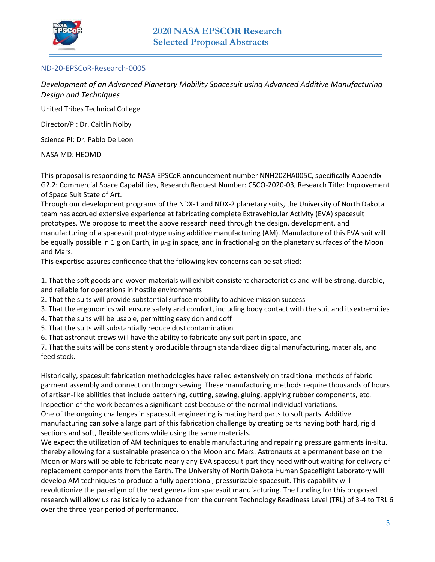

### <span id="page-2-0"></span>ND-20-EPSCoR-Research-0005

<span id="page-2-1"></span>*Development of an Advanced Planetary Mobility Spacesuit using Advanced Additive Manufacturing Design and Techniques* 

United Tribes Technical College

Director/PI: Dr. Caitlin Nolby

Science PI: Dr. Pablo De Leon

NASA MD: HEOMD

This proposal is responding to NASA EPSCoR announcement number NNH20ZHA005C, specifically Appendix G2.2: Commercial Space Capabilities, Research Request Number: CSCO-2020-03, Research Title: Improvement of Space Suit State of Art.

Through our development programs of the NDX-1 and NDX-2 planetary suits, the University of North Dakota team has accrued extensive experience at fabricating complete Extravehicular Activity (EVA) spacesuit prototypes. We propose to meet the above research need through the design, development, and manufacturing of a spacesuit prototype using additive manufacturing (AM). Manufacture of this EVA suit will be equally possible in 1 g on Earth, in  $\mu$ -g in space, and in fractional-g on the planetary surfaces of the Moon and Mars.

This expertise assures confidence that the following key concerns can be satisfied:

1. That the soft goods and woven materials will exhibit consistent characteristics and will be strong, durable, and reliable for operations in hostile environments

2. That the suits will provide substantial surface mobility to achieve mission success

3. That the ergonomics will ensure safety and comfort, including body contact with the suit and its extremities

- 4. That the suits will be usable, permitting easy don and doff
- 5. That the suits will substantially reduce dust contamination

6. That astronaut crews will have the ability to fabricate any suit part in space, and

7. That the suits will be consistently producible through standardized digital manufacturing, materials, and feed stock.

Historically, spacesuit fabrication methodologies have relied extensively on traditional methods of fabric garment assembly and connection through sewing. These manufacturing methods require thousands of hours of artisan-like abilities that include patterning, cutting, sewing, gluing, applying rubber components, etc. Inspection of the work becomes a significant cost because of the normal individual variations. One of the ongoing challenges in spacesuit engineering is mating hard parts to soft parts. Additive

manufacturing can solve a large part of this fabrication challenge by creating parts having both hard, rigid sections and soft, flexible sections while using the same materials.

We expect the utilization of AM techniques to enable manufacturing and repairing pressure garments in-situ, thereby allowing for a sustainable presence on the Moon and Mars. Astronauts at a permanent base on the Moon or Mars will be able to fabricate nearly any EVA spacesuit part they need without waiting for delivery of replacement components from the Earth. The University of North Dakota Human Spaceflight Laboratory will develop AM techniques to produce a fully operational, pressurizable spacesuit. This capability will revolutionize the paradigm of the next generation spacesuit manufacturing. The funding for this proposed research will allow us realistically to advance from the current Technology Readiness Level (TRL) of 3-4 to TRL 6 over the three-year period of performance.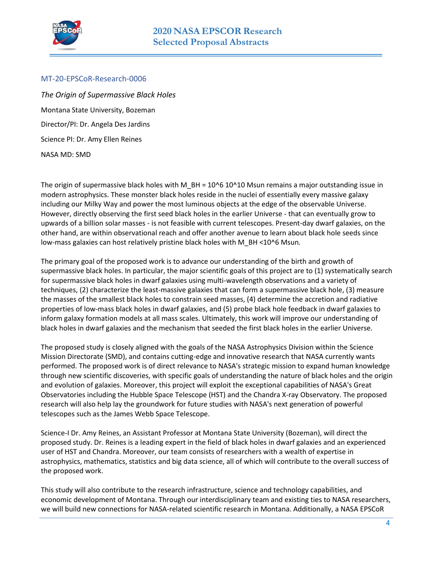

#### <span id="page-3-0"></span>MT-20-EPSCoR-Research-0006

*The Origin of Supermassive Black Holes*  Montana State University, Bozeman Director/PI: Dr. Angela Des Jardins Science PI: Dr. Amy Ellen Reines NASA MD: SMD

The origin of supermassive black holes with M\_BH =  $10^{\circ}6$  10 $^{\circ}10$  Msun remains a major outstanding issue in modern astrophysics. These monster black holes reside in the nuclei of essentially every massive galaxy including our Milky Way and power the most luminous objects at the edge of the observable Universe. However, directly observing the first seed black holes in the earlier Universe - that can eventually grow to upwards of a billion solar masses - is not feasible with current telescopes. Present-day dwarf galaxies, on the other hand, are within observational reach and offer another avenue to learn about black hole seeds since low-mass galaxies can host relatively pristine black holes with M\_BH <10^6 Msun.

The primary goal of the proposed work is to advance our understanding of the birth and growth of supermassive black holes. In particular, the major scientific goals of this project are to (1) systematically search for supermassive black holes in dwarf galaxies using multi-wavelength observations and a variety of techniques, (2) characterize the least-massive galaxies that can form a supermassive black hole, (3) measure the masses of the smallest black holes to constrain seed masses, (4) determine the accretion and radiative properties of low-mass black holes in dwarf galaxies, and (5) probe black hole feedback in dwarf galaxies to inform galaxy formation models at all mass scales. Ultimately, this work will improve our understanding of black holes in dwarf galaxies and the mechanism that seeded the first black holes in the earlier Universe.

The proposed study is closely aligned with the goals of the NASA Astrophysics Division within the Science Mission Directorate (SMD), and contains cutting-edge and innovative research that NASA currently wants performed. The proposed work is of direct relevance to NASA's strategic mission to expand human knowledge through new scientific discoveries, with specific goals of understanding the nature of black holes and the origin and evolution of galaxies. Moreover, this project will exploit the exceptional capabilities of NASA's Great Observatories including the Hubble Space Telescope (HST) and the Chandra X-ray Observatory. The proposed research will also help lay the groundwork for future studies with NASA's next generation of powerful telescopes such as the James Webb Space Telescope.

Science-I Dr. Amy Reines, an Assistant Professor at Montana State University (Bozeman), will direct the proposed study. Dr. Reines is a leading expert in the field of black holes in dwarf galaxies and an experienced user of HST and Chandra. Moreover, our team consists of researchers with a wealth of expertise in astrophysics, mathematics, statistics and big data science, all of which will contribute to the overall success of the proposed work.

This study will also contribute to the research infrastructure, science and technology capabilities, and economic development of Montana. Through our interdisciplinary team and existing ties to NASA researchers, we will build new connections for NASA-related scientific research in Montana. Additionally, a NASA EPSCoR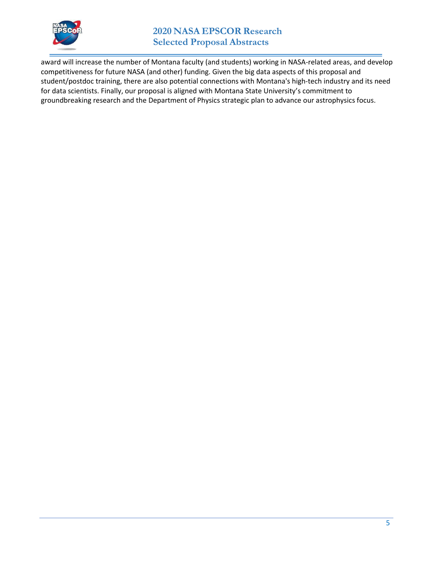

### **2020 NASA EPSCOR Research Selected Proposal Abstracts**

award will increase the number of Montana faculty (and students) working in NASA-related areas, and develop competitiveness for future NASA (and other) funding. Given the big data aspects of this proposal and student/postdoc training, there are also potential connections with Montana's high-tech industry and its need for data scientists. Finally, our proposal is aligned with Montana State University's commitment to groundbreaking research and the Department of Physics strategic plan to advance our astrophysics focus.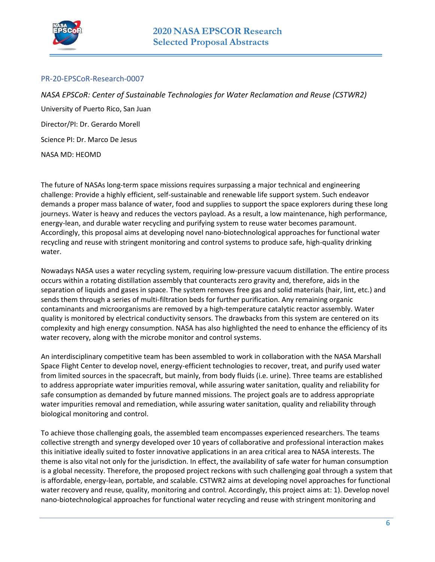

#### <span id="page-5-0"></span>PR-20-EPSCoR-Research-0007

<span id="page-5-1"></span>*NASA EPSCoR: Center of Sustainable Technologies for Water Reclamation and Reuse (CSTWR2)*  University of Puerto Rico, San Juan Director/PI: Dr. Gerardo Morell Science PI: Dr. Marco De Jesus NASA MD: HEOMD

The future of NASAs long-term space missions requires surpassing a major technical and engineering challenge: Provide a highly efficient, self-sustainable and renewable life support system. Such endeavor demands a proper mass balance of water, food and supplies to support the space explorers during these long journeys. Water is heavy and reduces the vectors payload. As a result, a low maintenance, high performance, energy-lean, and durable water recycling and purifying system to reuse water becomes paramount. Accordingly, this proposal aims at developing novel nano-biotechnological approaches for functional water recycling and reuse with stringent monitoring and control systems to produce safe, high-quality drinking water.

Nowadays NASA uses a water recycling system, requiring low-pressure vacuum distillation. The entire process occurs within a rotating distillation assembly that counteracts zero gravity and, therefore, aids in the separation of liquids and gases in space. The system removes free gas and solid materials (hair, lint, etc.) and sends them through a series of multi-filtration beds for further purification. Any remaining organic contaminants and microorganisms are removed by a high-temperature catalytic reactor assembly. Water quality is monitored by electrical conductivity sensors. The drawbacks from this system are centered on its complexity and high energy consumption. NASA has also highlighted the need to enhance the efficiency of its water recovery, along with the microbe monitor and control systems.

An interdisciplinary competitive team has been assembled to work in collaboration with the NASA Marshall Space Flight Center to develop novel, energy-efficient technologies to recover, treat, and purify used water from limited sources in the spacecraft, but mainly, from body fluids (i.e. urine). Three teams are established to address appropriate water impurities removal, while assuring water sanitation, quality and reliability for safe consumption as demanded by future manned missions. The project goals are to address appropriate water impurities removal and remediation, while assuring water sanitation, quality and reliability through biological monitoring and control.

To achieve those challenging goals, the assembled team encompasses experienced researchers. The teams collective strength and synergy developed over 10 years of collaborative and professional interaction makes this initiative ideally suited to foster innovative applications in an area critical area to NASA interests. The theme is also vital not only for the jurisdiction. In effect, the availability of safe water for human consumption is a global necessity. Therefore, the proposed project reckons with such challenging goal through a system that is affordable, energy-lean, portable, and scalable. CSTWR2 aims at developing novel approaches for functional water recovery and reuse, quality, monitoring and control. Accordingly, this project aims at: 1). Develop novel nano-biotechnological approaches for functional water recycling and reuse with stringent monitoring and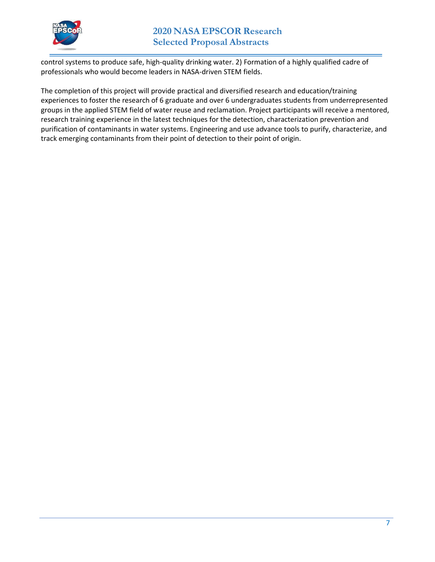

control systems to produce safe, high-quality drinking water. 2) Formation of a highly qualified cadre of professionals who would become leaders in NASA-driven STEM fields.

The completion of this project will provide practical and diversified research and education/training experiences to foster the research of 6 graduate and over 6 undergraduates students from underrepresented groups in the applied STEM field of water reuse and reclamation. Project participants will receive a mentored, research training experience in the latest techniques for the detection, characterization prevention and purification of contaminants in water systems. Engineering and use advance tools to purify, characterize, and track emerging contaminants from their point of detection to their point of origin.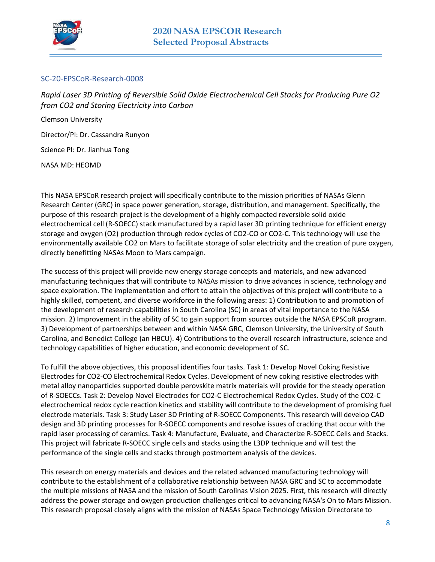

### <span id="page-7-0"></span>SC-20-EPSCoR-Research-0008

<span id="page-7-1"></span>*Rapid Laser 3D Printing of Reversible Solid Oxide Electrochemical Cell Stacks for Producing Pure O2 from CO2 and Storing Electricity into Carbon* 

Clemson University Director/PI: Dr. Cassandra Runyon Science PI: Dr. Jianhua Tong

NASA MD: HEOMD

This NASA EPSCoR research project will specifically contribute to the mission priorities of NASAs Glenn Research Center (GRC) in space power generation, storage, distribution, and management. Specifically, the purpose of this research project is the development of a highly compacted reversible solid oxide electrochemical cell (R-SOECC) stack manufactured by a rapid laser 3D printing technique for efficient energy storage and oxygen (O2) production through redox cycles of CO2-CO or CO2-C. This technology will use the environmentally available CO2 on Mars to facilitate storage of solar electricity and the creation of pure oxygen, directly benefitting NASAs Moon to Mars campaign.

The success of this project will provide new energy storage concepts and materials, and new advanced manufacturing techniques that will contribute to NASAs mission to drive advances in science, technology and space exploration. The implementation and effort to attain the objectives of this project will contribute to a highly skilled, competent, and diverse workforce in the following areas: 1) Contribution to and promotion of the development of research capabilities in South Carolina (SC) in areas of vital importance to the NASA mission. 2) Improvement in the ability of SC to gain support from sources outside the NASA EPSCoR program. 3) Development of partnerships between and within NASA GRC, Clemson University, the University of South Carolina, and Benedict College (an HBCU). 4) Contributions to the overall research infrastructure, science and technology capabilities of higher education, and economic development of SC.

To fulfill the above objectives, this proposal identifies four tasks. Task 1: Develop Novel Coking Resistive Electrodes for CO2-CO Electrochemical Redox Cycles. Development of new coking resistive electrodes with metal alloy nanoparticles supported double perovskite matrix materials will provide for the steady operation of R-SOECCs. Task 2: Develop Novel Electrodes for CO2-C Electrochemical Redox Cycles. Study of the CO2-C electrochemical redox cycle reaction kinetics and stability will contribute to the development of promising fuel electrode materials. Task 3: Study Laser 3D Printing of R-SOECC Components. This research will develop CAD design and 3D printing processes for R-SOECC components and resolve issues of cracking that occur with the rapid laser processing of ceramics. Task 4: Manufacture, Evaluate, and Characterize R-SOECC Cells and Stacks. This project will fabricate R-SOECC single cells and stacks using the L3DP technique and will test the performance of the single cells and stacks through postmortem analysis of the devices.

This research on energy materials and devices and the related advanced manufacturing technology will contribute to the establishment of a collaborative relationship between NASA GRC and SC to accommodate the multiple missions of NASA and the mission of South Carolinas Vision 2025. First, this research will directly address the power storage and oxygen production challenges critical to advancing NASA's On to Mars Mission. This research proposal closely aligns with the mission of NASAs Space Technology Mission Directorate to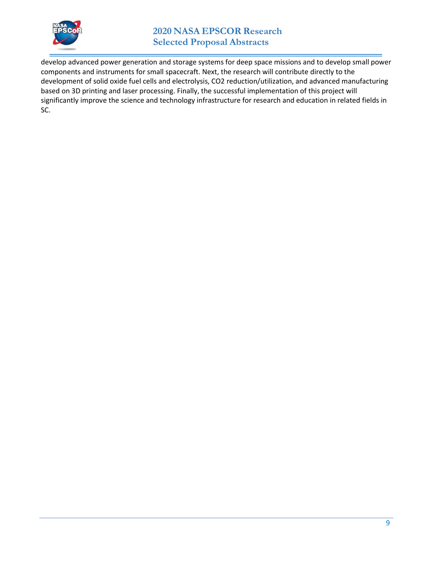

develop advanced power generation and storage systems for deep space missions and to develop small power components and instruments for small spacecraft. Next, the research will contribute directly to the development of solid oxide fuel cells and electrolysis, CO2 reduction/utilization, and advanced manufacturing based on 3D printing and laser processing. Finally, the successful implementation of this project will significantly improve the science and technology infrastructure for research and education in related fields in SC.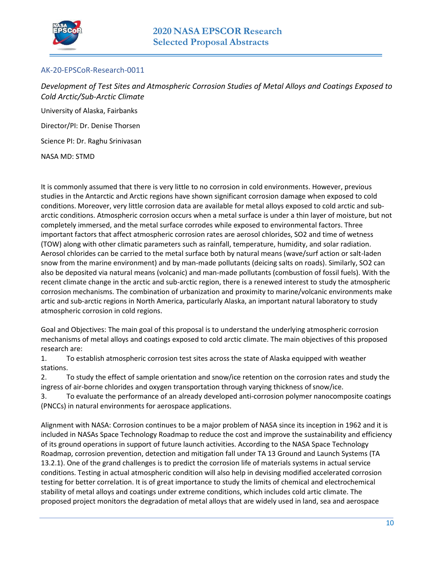

### <span id="page-9-0"></span>AK-20-EPSCoR-Research-0011

<span id="page-9-1"></span>*Development of Test Sites and Atmospheric Corrosion Studies of Metal Alloys and Coatings Exposed to Cold Arctic/Sub-Arctic Climate* 

University of Alaska, Fairbanks Director/PI: Dr. Denise Thorsen Science PI: Dr. Raghu Srinivasan NASA MD: STMD

It is commonly assumed that there is very little to no corrosion in cold environments. However, previous studies in the Antarctic and Arctic regions have shown significant corrosion damage when exposed to cold conditions. Moreover, very little corrosion data are available for metal alloys exposed to cold arctic and subarctic conditions. Atmospheric corrosion occurs when a metal surface is under a thin layer of moisture, but not completely immersed, and the metal surface corrodes while exposed to environmental factors. Three important factors that affect atmospheric corrosion rates are aerosol chlorides, SO2 and time of wetness (TOW) along with other climatic parameters such as rainfall, temperature, humidity, and solar radiation. Aerosol chlorides can be carried to the metal surface both by natural means (wave/surf action or salt-laden snow from the marine environment) and by man-made pollutants (deicing salts on roads). Similarly, SO2 can also be deposited via natural means (volcanic) and man-made pollutants (combustion of fossil fuels). With the recent climate change in the arctic and sub-arctic region, there is a renewed interest to study the atmospheric corrosion mechanisms. The combination of urbanization and proximity to marine/volcanic environments make artic and sub-arctic regions in North America, particularly Alaska, an important natural laboratory to study atmospheric corrosion in cold regions.

Goal and Objectives: The main goal of this proposal is to understand the underlying atmospheric corrosion mechanisms of metal alloys and coatings exposed to cold arctic climate. The main objectives of this proposed research are:

1. To establish atmospheric corrosion test sites across the state of Alaska equipped with weather stations.

2. To study the effect of sample orientation and snow/ice retention on the corrosion rates and study the ingress of air-borne chlorides and oxygen transportation through varying thickness of snow/ice.

3. To evaluate the performance of an already developed anti-corrosion polymer nanocomposite coatings (PNCCs) in natural environments for aerospace applications.

Alignment with NASA: Corrosion continues to be a major problem of NASA since its inception in 1962 and it is included in NASAs Space Technology Roadmap to reduce the cost and improve the sustainability and efficiency of its ground operations in support of future launch activities. According to the NASA Space Technology Roadmap, corrosion prevention, detection and mitigation fall under TA 13 Ground and Launch Systems (TA 13.2.1). One of the grand challenges is to predict the corrosion life of materials systems in actual service conditions. Testing in actual atmospheric condition will also help in devising modified accelerated corrosion testing for better correlation. It is of great importance to study the limits of chemical and electrochemical stability of metal alloys and coatings under extreme conditions, which includes cold artic climate. The proposed project monitors the degradation of metal alloys that are widely used in land, sea and aerospace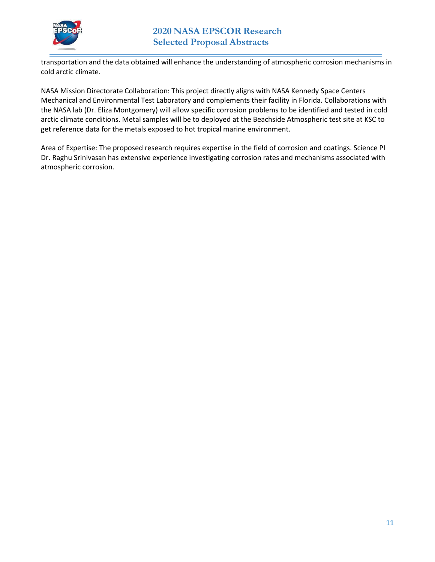

transportation and the data obtained will enhance the understanding of atmospheric corrosion mechanisms in cold arctic climate.

NASA Mission Directorate Collaboration: This project directly aligns with NASA Kennedy Space Centers Mechanical and Environmental Test Laboratory and complements their facility in Florida. Collaborations with the NASA lab (Dr. Eliza Montgomery) will allow specific corrosion problems to be identified and tested in cold arctic climate conditions. Metal samples will be to deployed at the Beachside Atmospheric test site at KSC to get reference data for the metals exposed to hot tropical marine environment.

Area of Expertise: The proposed research requires expertise in the field of corrosion and coatings. Science PI Dr. Raghu Srinivasan has extensive experience investigating corrosion rates and mechanisms associated with atmospheric corrosion.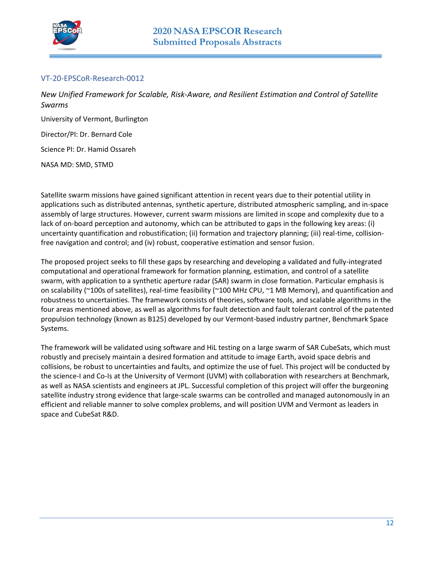

### <span id="page-11-0"></span>VT-20-EPSCoR-Research-0012

<span id="page-11-1"></span>*New Unified Framework for Scalable, Risk-Aware, and Resilient Estimation and Control of Satellite Swarms* 

University of Vermont, Burlington

Director/PI: Dr. Bernard Cole

Science PI: Dr. Hamid Ossareh

NASA MD: SMD, STMD

Satellite swarm missions have gained significant attention in recent years due to their potential utility in applications such as distributed antennas, synthetic aperture, distributed atmospheric sampling, and in-space assembly of large structures. However, current swarm missions are limited in scope and complexity due to a lack of on-board perception and autonomy, which can be attributed to gaps in the following key areas: (i) uncertainty quantification and robustification; (ii) formation and trajectory planning; (iii) real-time, collisionfree navigation and control; and (iv) robust, cooperative estimation and sensor fusion.

The proposed project seeks to fill these gaps by researching and developing a validated and fully-integrated computational and operational framework for formation planning, estimation, and control of a satellite swarm, with application to a synthetic aperture radar (SAR) swarm in close formation. Particular emphasis is on scalability (~100s of satellites), real-time feasibility (~100 MHz CPU, ~1 MB Memory), and quantification and robustness to uncertainties. The framework consists of theories, software tools, and scalable algorithms in the four areas mentioned above, as well as algorithms for fault detection and fault tolerant control of the patented propulsion technology (known as B125) developed by our Vermont-based industry partner, Benchmark Space Systems.

The framework will be validated using software and HiL testing on a large swarm of SAR CubeSats, which must robustly and precisely maintain a desired formation and attitude to image Earth, avoid space debris and collisions, be robust to uncertainties and faults, and optimize the use of fuel. This project will be conducted by the science-I and Co-Is at the University of Vermont (UVM) with collaboration with researchers at Benchmark, as well as NASA scientists and engineers at JPL. Successful completion of this project will offer the burgeoning satellite industry strong evidence that large-scale swarms can be controlled and managed autonomously in an efficient and reliable manner to solve complex problems, and will position UVM and Vermont as leaders in space and CubeSat R&D.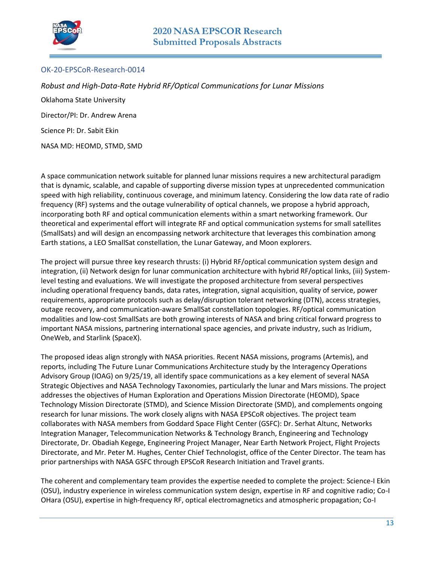

### <span id="page-12-0"></span>OK-20-EPSCoR-Research-0014

<span id="page-12-1"></span>*Robust and High-Data-Rate Hybrid RF/Optical Communications for Lunar Missions*  Oklahoma State University Director/PI: Dr. Andrew Arena Science PI: Dr. Sabit Ekin NASA MD: HEOMD, STMD, SMD

A space communication network suitable for planned lunar missions requires a new architectural paradigm that is dynamic, scalable, and capable of supporting diverse mission types at unprecedented communication speed with high reliability, continuous coverage, and minimum latency. Considering the low data rate of radio frequency (RF) systems and the outage vulnerability of optical channels, we propose a hybrid approach, incorporating both RF and optical communication elements within a smart networking framework. Our theoretical and experimental effort will integrate RF and optical communication systems for small satellites (SmallSats) and will design an encompassing network architecture that leverages this combination among Earth stations, a LEO SmallSat constellation, the Lunar Gateway, and Moon explorers.

The project will pursue three key research thrusts: (i) Hybrid RF/optical communication system design and integration, (ii) Network design for lunar communication architecture with hybrid RF/optical links, (iii) Systemlevel testing and evaluations. We will investigate the proposed architecture from several perspectives including operational frequency bands, data rates, integration, signal acquisition, quality of service, power requirements, appropriate protocols such as delay/disruption tolerant networking (DTN), access strategies, outage recovery, and communication-aware SmallSat constellation topologies. RF/optical communication modalities and low-cost SmallSats are both growing interests of NASA and bring critical forward progress to important NASA missions, partnering international space agencies, and private industry, such as Iridium, OneWeb, and Starlink (SpaceX).

The proposed ideas align strongly with NASA priorities. Recent NASA missions, programs (Artemis), and reports, including The Future Lunar Communications Architecture study by the Interagency Operations Advisory Group (IOAG) on 9/25/19, all identify space communications as a key element of several NASA Strategic Objectives and NASA Technology Taxonomies, particularly the lunar and Mars missions. The project addresses the objectives of Human Exploration and Operations Mission Directorate (HEOMD), Space Technology Mission Directorate (STMD), and Science Mission Directorate (SMD), and complements ongoing research for lunar missions. The work closely aligns with NASA EPSCoR objectives. The project team collaborates with NASA members from Goddard Space Flight Center (GSFC): Dr. Serhat Altunc, Networks Integration Manager, Telecommunication Networks & Technology Branch, Engineering and Technology Directorate, Dr. Obadiah Kegege, Engineering Project Manager, Near Earth Network Project, Flight Projects Directorate, and Mr. Peter M. Hughes, Center Chief Technologist, office of the Center Director. The team has prior partnerships with NASA GSFC through EPSCoR Research Initiation and Travel grants.

The coherent and complementary team provides the expertise needed to complete the project: Science-I Ekin (OSU), industry experience in wireless communication system design, expertise in RF and cognitive radio; Co-I OHara (OSU), expertise in high-frequency RF, optical electromagnetics and atmospheric propagation; Co-I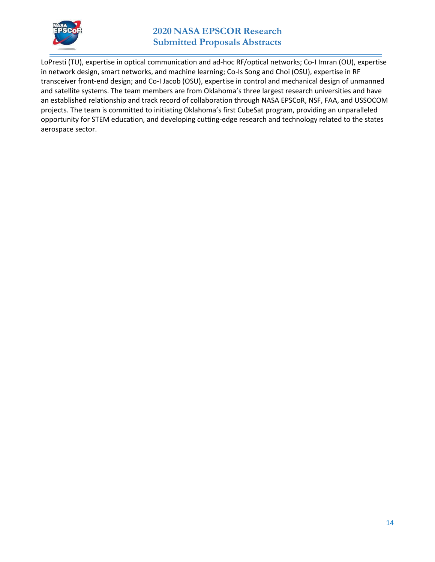

### **2020 NASA EPSCOR Research Submitted Proposals Abstracts**

LoPresti (TU), expertise in optical communication and ad-hoc RF/optical networks; Co-I Imran (OU), expertise in network design, smart networks, and machine learning; Co-Is Song and Choi (OSU), expertise in RF transceiver front-end design; and Co-I Jacob (OSU), expertise in control and mechanical design of unmanned and satellite systems. The team members are from Oklahoma's three largest research universities and have an established relationship and track record of collaboration through NASA EPSCoR, NSF, FAA, and USSOCOM projects. The team is committed to initiating Oklahoma's first CubeSat program, providing an unparalleled opportunity for STEM education, and developing cutting-edge research and technology related to the states aerospace sector.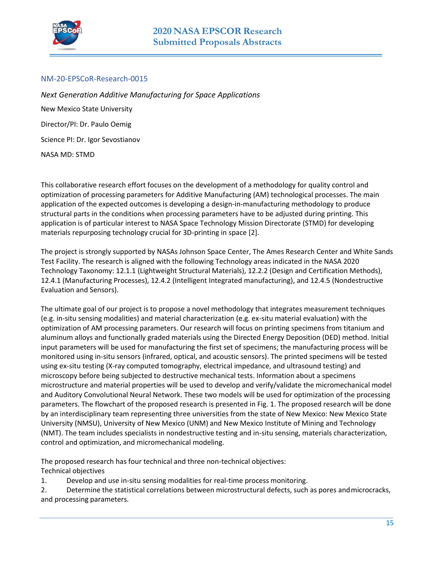

#### <span id="page-14-0"></span>NM-20-EPSCoR-Research-0015

<span id="page-14-1"></span>*Next Generation Additive Manufacturing for Space Applications*  New Mexico State University Director/PI: Dr. Paulo Oemig Science PI: Dr. Igor Sevostianov NASA MD: STMD

This collaborative research effort focuses on the development of a methodology for quality control and optimization of processing parameters for Additive Manufacturing (AM) technological processes. The main application of the expected outcomes is developing a design-in-manufacturing methodology to produce structural parts in the conditions when processing parameters have to be adjusted during printing. This application is of particular interest to NASA Space Technology Mission Directorate (STMD) for developing materials repurposing technology crucial for 3D-printing in space [2].

The project is strongly supported by NASAs Johnson Space Center, The Ames Research Center and White Sands Test Facility. The research is aligned with the following Technology areas indicated in the NASA 2020 Technology Taxonomy: 12.1.1 (Lightweight Structural Materials), 12.2.2 (Design and Certification Methods), 12.4.1 (Manufacturing Processes), 12.4.2 (Intelligent Integrated manufacturing), and 12.4.5 (Nondestructive Evaluation and Sensors).

The ultimate goal of our project is to propose a novel methodology that integrates measurement techniques (e.g. in-situ sensing modalities) and material characterization (e.g. ex-situ material evaluation) with the optimization of AM processing parameters. Our research will focus on printing specimens from titanium and aluminum alloys and functionally graded materials using the Directed Energy Deposition (DED) method. Initial input parameters will be used for manufacturing the first set of specimens; the manufacturing process will be monitored using in-situ sensors (infrared, optical, and acoustic sensors). The printed specimens will be tested using ex-situ testing (X-ray computed tomography, electrical impedance, and ultrasound testing) and microscopy before being subjected to destructive mechanical tests. Information about a specimens microstructure and material properties will be used to develop and verify/validate the micromechanical model and Auditory Convolutional Neural Network. These two models will be used for optimization of the processing parameters. The flowchart of the proposed research is presented in Fig. 1. The proposed research will be done by an interdisciplinary team representing three universities from the state of New Mexico: New Mexico State University (NMSU), University of New Mexico (UNM) and New Mexico Institute of Mining and Technology (NMT). The team includes specialists in nondestructive testing and in-situ sensing, materials characterization, control and optimization, and micromechanical modeling.

The proposed research has four technical and three non-technical objectives: Technical objectives

1. Develop and use in-situ sensing modalities for real-time process monitoring.

2. Determine the statistical correlations between microstructural defects, such as pores and microcracks, and processing parameters.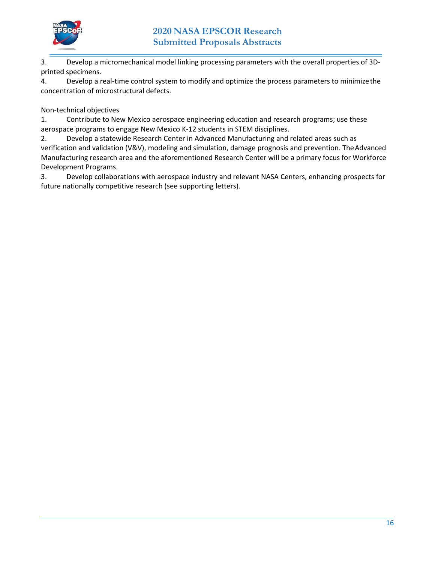

3. Develop a micromechanical model linking processing parameters with the overall properties of 3Dprinted specimens.

4. Develop a real-time control system to modify and optimize the process parameters to minimize the concentration of microstructural defects.

Non-technical objectives

1. Contribute to New Mexico aerospace engineering education and research programs; use these aerospace programs to engage New Mexico K-12 students in STEM disciplines.

2. Develop a statewide Research Center in Advanced Manufacturing and related areas such as verification and validation (V&V), modeling and simulation, damage prognosis and prevention. The Advanced Manufacturing research area and the aforementioned Research Center will be a primary focus for Workforce Development Programs.

3. Develop collaborations with aerospace industry and relevant NASA Centers, enhancing prospects for future nationally competitive research (see supporting letters).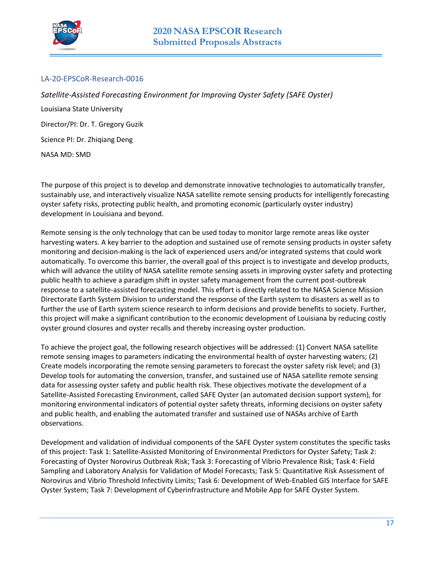

### <span id="page-16-0"></span>LA-20-EPSCoR-Research-0016

<span id="page-16-1"></span>*Satellite-Assisted Forecasting Environment for Improving Oyster Safety (SAFE Oyster)*  Louisiana State University Director/PI: Dr. T. Gregory Guzik Science PI: Dr. Zhiqiang Deng NASA MD: SMD

The purpose of this project is to develop and demonstrate innovative technologies to automatically transfer, sustainably use, and interactively visualize NASA satellite remote sensing products for intelligently forecasting oyster safety risks, protecting public health, and promoting economic (particularly oyster industry) development in Louisiana and beyond.

Remote sensing is the only technology that can be used today to monitor large remote areas like oyster harvesting waters. A key barrier to the adoption and sustained use of remote sensing products in oyster safety monitoring and decision-making is the lack of experienced users and/or integrated systems that could work automatically. To overcome this barrier, the overall goal of this project is to investigate and develop products, which will advance the utility of NASA satellite remote sensing assets in improving oyster safety and protecting public health to achieve a paradigm shift in oyster safety management from the current post-outbreak response to a satellite-assisted forecasting model. This effort is directly related to the NASA Science Mission Directorate Earth System Division to understand the response of the Earth system to disasters as well as to further the use of Earth system science research to inform decisions and provide benefits to society. Further, this project will make a significant contribution to the economic development of Louisiana by reducing costly oyster ground closures and oyster recalls and thereby increasing oyster production.

To achieve the project goal, the following research objectives will be addressed: (1) Convert NASA satellite remote sensing images to parameters indicating the environmental health of oyster harvesting waters; (2) Create models incorporating the remote sensing parameters to forecast the oyster safety risk level; and (3) Develop tools for automating the conversion, transfer, and sustained use of NASA satellite remote sensing data for assessing oyster safety and public health risk. These objectives motivate the development of a Satellite-Assisted Forecasting Environment, called SAFE Oyster (an automated decision support system), for monitoring environmental indicators of potential oyster safety threats, informing decisions on oyster safety and public health, and enabling the automated transfer and sustained use of NASAs archive of Earth observations.

Development and validation of individual components of the SAFE Oyster system constitutes the specific tasks of this project: Task 1: Satellite-Assisted Monitoring of Environmental Predictors for Oyster Safety; Task 2: Forecasting of Oyster Norovirus Outbreak Risk; Task 3: Forecasting of Vibrio Prevalence Risk; Task 4: Field Sampling and Laboratory Analysis for Validation of Model Forecasts; Task 5: Quantitative Risk Assessment of Norovirus and Vibrio Threshold Infectivity Limits; Task 6: Development of Web-Enabled GIS Interface for SAFE Oyster System; Task 7: Development of Cyberinfrastructure and Mobile App for SAFE Oyster System.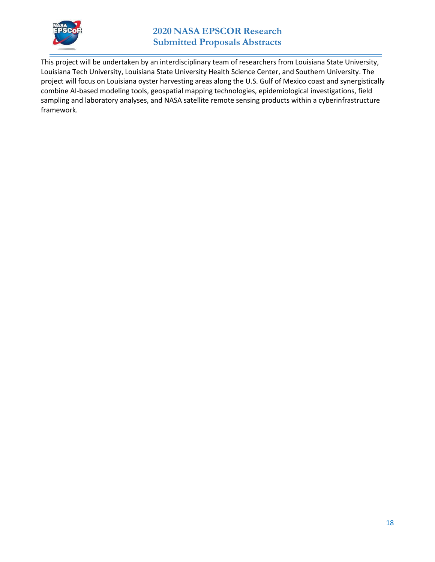

This project will be undertaken by an interdisciplinary team of researchers from Louisiana State University, Louisiana Tech University, Louisiana State University Health Science Center, and Southern University. The project will focus on Louisiana oyster harvesting areas along the U.S. Gulf of Mexico coast and synergistically combine AI-based modeling tools, geospatial mapping technologies, epidemiological investigations, field sampling and laboratory analyses, and NASA satellite remote sensing products within a cyberinfrastructure framework.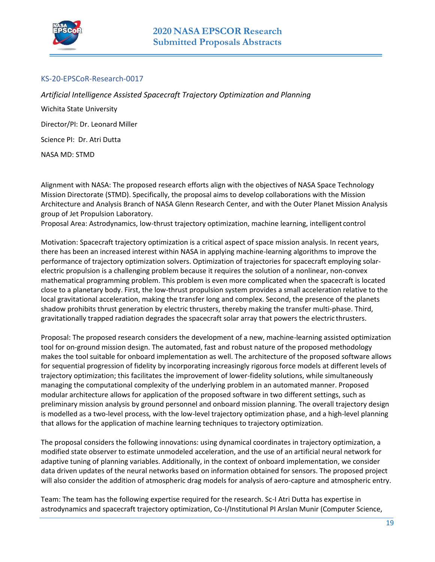

### <span id="page-18-0"></span>KS-20-EPSCoR-Research-0017

<span id="page-18-1"></span>*Artificial Intelligence Assisted Spacecraft Trajectory Optimization and Planning*  Wichita State University Director/PI: Dr. Leonard Miller Science PI: Dr. Atri Dutta NASA MD: STMD

Alignment with NASA: The proposed research efforts align with the objectives of NASA Space Technology Mission Directorate (STMD). Specifically, the proposal aims to develop collaborations with the Mission Architecture and Analysis Branch of NASA Glenn Research Center, and with the Outer Planet Mission Analysis group of Jet Propulsion Laboratory.

Proposal Area: Astrodynamics, low-thrust trajectory optimization, machine learning, intelligent control

Motivation: Spacecraft trajectory optimization is a critical aspect of space mission analysis. In recent years, there has been an increased interest within NASA in applying machine-learning algorithms to improve the performance of trajectory optimization solvers. Optimization of trajectories for spacecraft employing solarelectric propulsion is a challenging problem because it requires the solution of a nonlinear, non-convex mathematical programming problem. This problem is even more complicated when the spacecraft is located close to a planetary body. First, the low-thrust propulsion system provides a small acceleration relative to the local gravitational acceleration, making the transfer long and complex. Second, the presence of the planets shadow prohibits thrust generation by electric thrusters, thereby making the transfer multi-phase. Third, gravitationally trapped radiation degrades the spacecraft solar array that powers the electric thrusters.

Proposal: The proposed research considers the development of a new, machine-learning assisted optimization tool for on-ground mission design. The automated, fast and robust nature of the proposed methodology makes the tool suitable for onboard implementation as well. The architecture of the proposed software allows for sequential progression of fidelity by incorporating increasingly rigorous force models at different levels of trajectory optimization; this facilitates the improvement of lower-fidelity solutions, while simultaneously managing the computational complexity of the underlying problem in an automated manner. Proposed modular architecture allows for application of the proposed software in two different settings, such as preliminary mission analysis by ground personnel and onboard mission planning. The overall trajectory design is modelled as a two-level process, with the low-level trajectory optimization phase, and a high-level planning that allows for the application of machine learning techniques to trajectory optimization.

The proposal considers the following innovations: using dynamical coordinates in trajectory optimization, a modified state observer to estimate unmodeled acceleration, and the use of an artificial neural network for adaptive tuning of planning variables. Additionally, in the context of onboard implementation, we consider data driven updates of the neural networks based on information obtained for sensors. The proposed project will also consider the addition of atmospheric drag models for analysis of aero-capture and atmospheric entry.

Team: The team has the following expertise required for the research. Sc-I Atri Dutta has expertise in astrodynamics and spacecraft trajectory optimization, Co-I/Institutional PI Arslan Munir (Computer Science,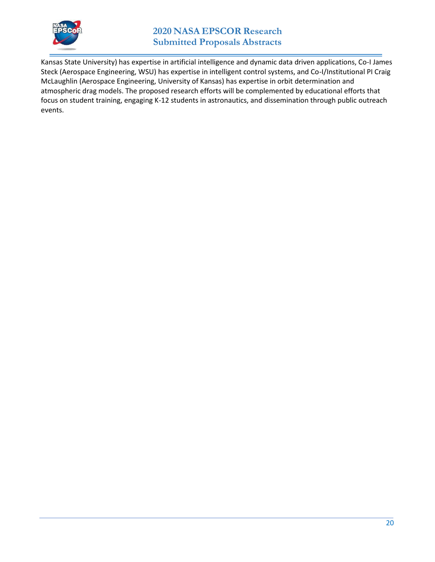

Kansas State University) has expertise in artificial intelligence and dynamic data driven applications, Co-I James Steck (Aerospace Engineering, WSU) has expertise in intelligent control systems, and Co-I/Institutional PI Craig McLaughlin (Aerospace Engineering, University of Kansas) has expertise in orbit determination and atmospheric drag models. The proposed research efforts will be complemented by educational efforts that focus on student training, engaging K-12 students in astronautics, and dissemination through public outreach events.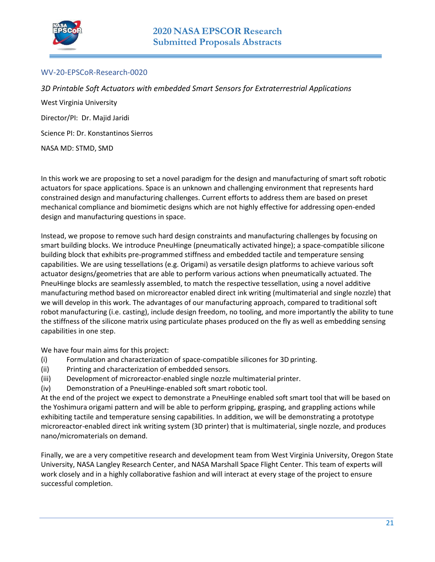

### <span id="page-20-0"></span>WV-20-EPSCoR-Research-0020

<span id="page-20-1"></span>*3D Printable Soft Actuators with embedded Smart Sensors for Extraterrestrial Applications*  West Virginia University Director/PI: Dr. Majid Jaridi Science PI: Dr. Konstantinos Sierros NASA MD: STMD, SMD

In this work we are proposing to set a novel paradigm for the design and manufacturing of smart soft robotic actuators for space applications. Space is an unknown and challenging environment that represents hard constrained design and manufacturing challenges. Current efforts to address them are based on preset mechanical compliance and biomimetic designs which are not highly effective for addressing open-ended design and manufacturing questions in space.

Instead, we propose to remove such hard design constraints and manufacturing challenges by focusing on smart building blocks. We introduce PneuHinge (pneumatically activated hinge); a space-compatible silicone building block that exhibits pre-programmed stiffness and embedded tactile and temperature sensing capabilities. We are using tessellations (e.g. Origami) as versatile design platforms to achieve various soft actuator designs/geometries that are able to perform various actions when pneumatically actuated. The PneuHinge blocks are seamlessly assembled, to match the respective tessellation, using a novel additive manufacturing method based on microreactor enabled direct ink writing (multimaterial and single nozzle) that we will develop in this work. The advantages of our manufacturing approach, compared to traditional soft robot manufacturing (i.e. casting), include design freedom, no tooling, and more importantly the ability to tune the stiffness of the silicone matrix using particulate phases produced on the fly as well as embedding sensing capabilities in one step.

We have four main aims for this project:

- (i) Formulation and characterization of space-compatible silicones for 3D printing.
- (ii) Printing and characterization of embedded sensors.
- (iii) Development of microreactor-enabled single nozzle multimaterial printer.
- (iv) Demonstration of a PneuHinge-enabled soft smart robotic tool.

At the end of the project we expect to demonstrate a PneuHinge enabled soft smart tool that will be based on the Yoshimura origami pattern and will be able to perform gripping, grasping, and grappling actions while exhibiting tactile and temperature sensing capabilities. In addition, we will be demonstrating a prototype microreactor-enabled direct ink writing system (3D printer) that is multimaterial, single nozzle, and produces nano/micromaterials on demand.

Finally, we are a very competitive research and development team from West Virginia University, Oregon State University, NASA Langley Research Center, and NASA Marshall Space Flight Center. This team of experts will work closely and in a highly collaborative fashion and will interact at every stage of the project to ensure successful completion.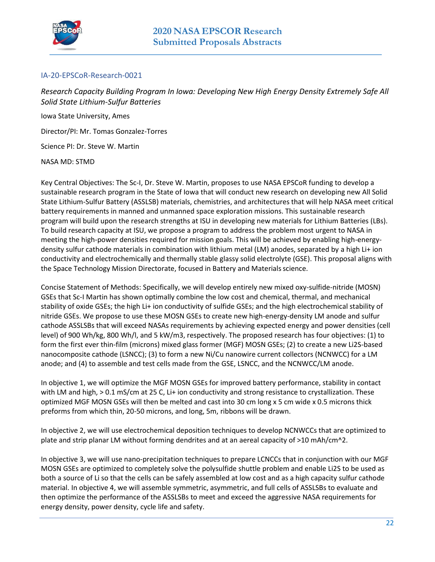

### <span id="page-21-0"></span>IA-20-EPSCoR-Research-0021

<span id="page-21-1"></span>*Research Capacity Building Program In Iowa: Developing New High Energy Density Extremely Safe All Solid State Lithium-Sulfur Batteries* 

Iowa State University, Ames

Director/PI: Mr. Tomas Gonzalez-Torres

Science PI: Dr. Steve W. Martin

NASA MD: STMD

Key Central Objectives: The Sc-I, Dr. Steve W. Martin, proposes to use NASA EPSCoR funding to develop a sustainable research program in the State of Iowa that will conduct new research on developing new All Solid State Lithium-Sulfur Battery (ASSLSB) materials, chemistries, and architectures that will help NASA meet critical battery requirements in manned and unmanned space exploration missions. This sustainable research program will build upon the research strengths at ISU in developing new materials for Lithium Batteries (LBs). To build research capacity at ISU, we propose a program to address the problem most urgent to NASA in meeting the high-power densities required for mission goals. This will be achieved by enabling high-energydensity sulfur cathode materials in combination with lithium metal (LM) anodes, separated by a high Li+ ion conductivity and electrochemically and thermally stable glassy solid electrolyte (GSE). This proposal aligns with the Space Technology Mission Directorate, focused in Battery and Materials science.

Concise Statement of Methods: Specifically, we will develop entirely new mixed oxy-sulfide-nitride (MOSN) GSEs that Sc-I Martin has shown optimally combine the low cost and chemical, thermal, and mechanical stability of oxide GSEs; the high Li+ ion conductivity of sulfide GSEs; and the high electrochemical stability of nitride GSEs. We propose to use these MOSN GSEs to create new high-energy-density LM anode and sulfur cathode ASSLSBs that will exceed NASAs requirements by achieving expected energy and power densities (cell level) of 900 Wh/kg, 800 Wh/l, and 5 kW/m3, respectively. The proposed research has four objectives: (1) to form the first ever thin-film (microns) mixed glass former (MGF) MOSN GSEs; (2) to create a new Li2S-based nanocomposite cathode (LSNCC); (3) to form a new Ni/Cu nanowire current collectors (NCNWCC) for a LM anode; and (4) to assemble and test cells made from the GSE, LSNCC, and the NCNWCC/LM anode.

In objective 1, we will optimize the MGF MOSN GSEs for improved battery performance, stability in contact with LM and high, > 0.1 mS/cm at 25 C, Li+ ion conductivity and strong resistance to crystallization. These optimized MGF MOSN GSEs will then be melted and cast into 30 cm long x 5 cm wide x 0.5 microns thick preforms from which thin, 20-50 microns, and long, 5m, ribbons will be drawn.

In objective 2, we will use electrochemical deposition techniques to develop NCNWCCs that are optimized to plate and strip planar LM without forming dendrites and at an aereal capacity of >10 mAh/cm^2.

In objective 3, we will use nano-precipitation techniques to prepare LCNCCs that in conjunction with our MGF MOSN GSEs are optimized to completely solve the polysulfide shuttle problem and enable Li2S to be used as both a source of Li so that the cells can be safely assembled at low cost and as a high capacity sulfur cathode material. In objective 4, we will assemble symmetric, asymmetric, and full cells of ASSLSBs to evaluate and then optimize the performance of the ASSLSBs to meet and exceed the aggressive NASA requirements for energy density, power density, cycle life and safety.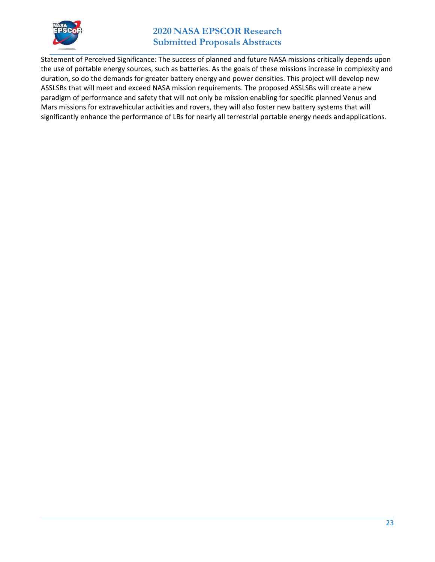

### **2020 NASA EPSCOR Research Submitted Proposals Abstracts**

Statement of Perceived Significance: The success of planned and future NASA missions critically depends upon the use of portable energy sources, such as batteries. As the goals of these missions increase in complexity and duration, so do the demands for greater battery energy and power densities. This project will develop new ASSLSBs that will meet and exceed NASA mission requirements. The proposed ASSLSBs will create a new paradigm of performance and safety that will not only be mission enabling for specific planned Venus and Mars missions for extravehicular activities and rovers, they will also foster new battery systems that will significantly enhance the performance of LBs for nearly all terrestrial portable energy needs and applications.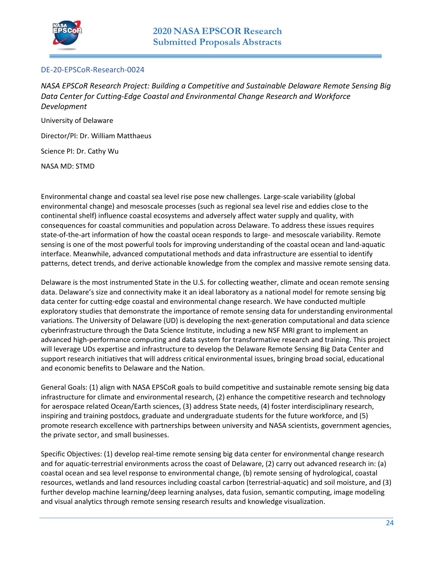

### <span id="page-23-0"></span>DE-20-EPSCoR-Research-0024

<span id="page-23-1"></span>*NASA EPSCoR Research Project: Building a Competitive and Sustainable Delaware Remote Sensing Big Data Center for Cutting-Edge Coastal and Environmental Change Research and Workforce Development* 

University of Delaware

Director/PI: Dr. William Matthaeus

Science PI: Dr. Cathy Wu

NASA MD: STMD

Environmental change and coastal sea level rise pose new challenges. Large-scale variability (global environmental change) and mesoscale processes (such as regional sea level rise and eddies close to the continental shelf) influence coastal ecosystems and adversely affect water supply and quality, with consequences for coastal communities and population across Delaware. To address these issues requires state-of-the-art information of how the coastal ocean responds to large- and mesoscale variability. Remote sensing is one of the most powerful tools for improving understanding of the coastal ocean and land-aquatic interface. Meanwhile, advanced computational methods and data infrastructure are essential to identify patterns, detect trends, and derive actionable knowledge from the complex and massive remote sensing data.

Delaware is the most instrumented State in the U.S. for collecting weather, climate and ocean remote sensing data. Delaware's size and connectivity make it an ideal laboratory as a national model for remote sensing big data center for cutting-edge coastal and environmental change research. We have conducted multiple exploratory studies that demonstrate the importance of remote sensing data for understanding environmental variations. The University of Delaware (UD) is developing the next-generation computational and data science cyberinfrastructure through the Data Science Institute, including a new NSF MRI grant to implement an advanced high-performance computing and data system for transformative research and training. This project will leverage UDs expertise and infrastructure to develop the Delaware Remote Sensing Big Data Center and support research initiatives that will address critical environmental issues, bringing broad social, educational and economic benefits to Delaware and the Nation.

General Goals: (1) align with NASA EPSCoR goals to build competitive and sustainable remote sensing big data infrastructure for climate and environmental research, (2) enhance the competitive research and technology for aerospace related Ocean/Earth sciences, (3) address State needs, (4) foster interdisciplinary research, inspiring and training postdocs, graduate and undergraduate students for the future workforce, and (5) promote research excellence with partnerships between university and NASA scientists, government agencies, the private sector, and small businesses.

Specific Objectives: (1) develop real-time remote sensing big data center for environmental change research and for aquatic-terrestrial environments across the coast of Delaware, (2) carry out advanced research in: (a) coastal ocean and sea level response to environmental change, (b) remote sensing of hydrological, coastal resources, wetlands and land resources including coastal carbon (terrestrial-aquatic) and soil moisture, and (3) further develop machine learning/deep learning analyses, data fusion, semantic computing, image modeling and visual analytics through remote sensing research results and knowledge visualization.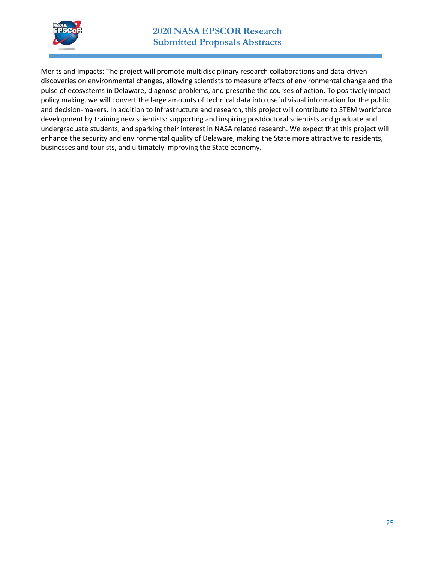

Merits and Impacts: The project will promote multidisciplinary research collaborations and data-driven discoveries on environmental changes, allowing scientists to measure effects of environmental change and the pulse of ecosystems in Delaware, diagnose problems, and prescribe the courses of action. To positively impact policy making, we will convert the large amounts of technical data into useful visual information for the public and decision-makers. In addition to infrastructure and research, this project will contribute to STEM workforce development by training new scientists: supporting and inspiring postdoctoral scientists and graduate and undergraduate students, and sparking their interest in NASA related research. We expect that this project will enhance the security and environmental quality of Delaware, making the State more attractive to residents, businesses and tourists, and ultimately improving the State economy.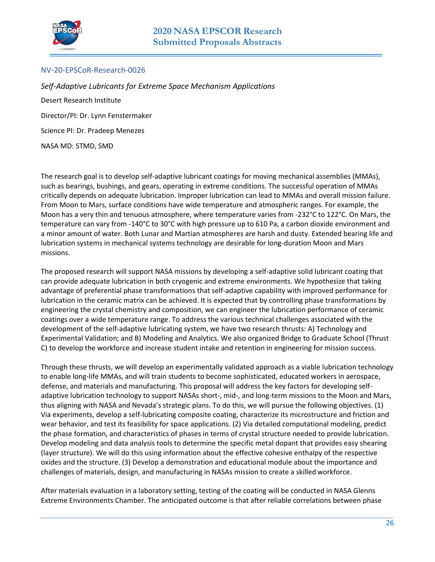

### <span id="page-25-0"></span>NV-20-EPSCoR-Research-0026

<span id="page-25-1"></span>*Self-Adaptive Lubricants for Extreme Space Mechanism Applications*  Desert Research Institute Director/PI: Dr. Lynn Fenstermaker Science PI: Dr. Pradeep Menezes NASA MD: STMD, SMD

The research goal is to develop self-adaptive lubricant coatings for moving mechanical assemblies (MMAs), such as bearings, bushings, and gears, operating in extreme conditions. The successful operation of MMAs critically depends on adequate lubrication. Improper lubrication can lead to MMAs and overall mission failure. From Moon to Mars, surface conditions have wide temperature and atmospheric ranges. For example, the Moon has a very thin and tenuous atmosphere, where temperature varies from -232°C to 122°C. On Mars, the temperature can vary from -140°C to 30°C with high pressure up to 610 Pa, a carbon dioxide environment and a minor amount of water. Both Lunar and Martian atmospheres are harsh and dusty. Extended bearing life and lubrication systems in mechanical systems technology are desirable for long-duration Moon and Mars missions.

The proposed research will support NASA missions by developing a self-adaptive solid lubricant coating that can provide adequate lubrication in both cryogenic and extreme environments. We hypothesize that taking advantage of preferential phase transformations that self-adaptive capability with improved performance for lubrication in the ceramic matrix can be achieved. It is expected that by controlling phase transformations by engineering the crystal chemistry and composition, we can engineer the lubrication performance of ceramic coatings over a wide temperature range. To address the various technical challenges associated with the development of the self-adaptive lubricating system, we have two research thrusts: A) Technology and Experimental Validation; and B) Modeling and Analytics. We also organized Bridge to Graduate School (Thrust C) to develop the workforce and increase student intake and retention in engineering for mission success.

Through these thrusts, we will develop an experimentally validated approach as a viable lubrication technology to enable long-life MMAs, and will train students to become sophisticated, educated workers in aerospace, defense, and materials and manufacturing. This proposal will address the key factors for developing selfadaptive lubrication technology to support NASAs short-, mid-, and long-term missions to the Moon and Mars, thus aligning with NASA and Nevada's strategic plans. To do this, we will pursue the following objectives. (1) Via experiments, develop a self-lubricating composite coating, characterize its microstructure and friction and wear behavior, and test its feasibility for space applications. (2) Via detailed computational modeling, predict the phase formation, and characteristics of phases in terms of crystal structure needed to provide lubrication. Develop modeling and data analysis tools to determine the specific metal dopant that provides easy shearing (layer structure). We will do this using information about the effective cohesive enthalpy of the respective oxides and the structure. (3) Develop a demonstration and educational module about the importance and challenges of materials, design, and manufacturing in NASAs mission to create a skilled workforce.

After materials evaluation in a laboratory setting, testing of the coating will be conducted in NASA Glenns Extreme Environments Chamber. The anticipated outcome is that after reliable correlations between phase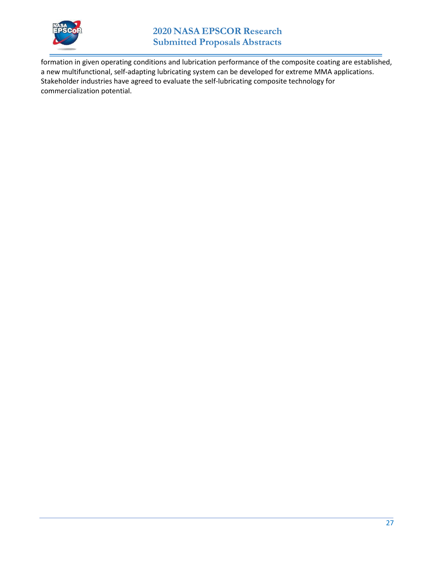

formation in given operating conditions and lubrication performance of the composite coating are established, a new multifunctional, self-adapting lubricating system can be developed for extreme MMA applications. Stakeholder industries have agreed to evaluate the self-lubricating composite technology for commercialization potential.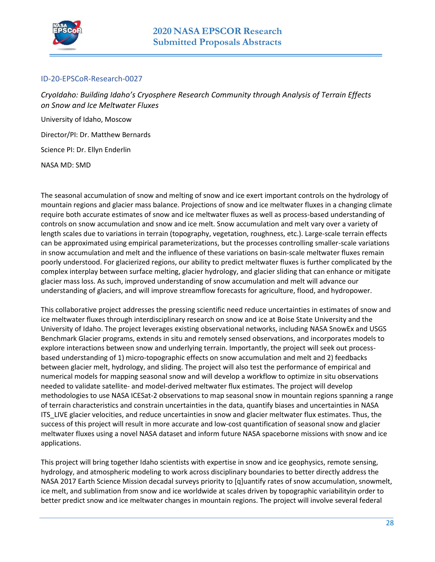

### <span id="page-27-0"></span>ID-20-EPSCoR-Research-0027

<span id="page-27-1"></span>*CryoIdaho: Building Idaho's Cryosphere Research Community through Analysis of Terrain Effects on Snow and Ice Meltwater Fluxes* 

University of Idaho, Moscow

Director/PI: Dr. Matthew Bernards

Science PI: Dr. Ellyn Enderlin

NASA MD: SMD

The seasonal accumulation of snow and melting of snow and ice exert important controls on the hydrology of mountain regions and glacier mass balance. Projections of snow and ice meltwater fluxes in a changing climate require both accurate estimates of snow and ice meltwater fluxes as well as process-based understanding of controls on snow accumulation and snow and ice melt. Snow accumulation and melt vary over a variety of length scales due to variations in terrain (topography, vegetation, roughness, etc.). Large-scale terrain effects can be approximated using empirical parameterizations, but the processes controlling smaller-scale variations in snow accumulation and melt and the influence of these variations on basin-scale meltwater fluxes remain poorly understood. For glacierized regions, our ability to predict meltwater fluxes is further complicated by the complex interplay between surface melting, glacier hydrology, and glacier sliding that can enhance or mitigate glacier mass loss. As such, improved understanding of snow accumulation and melt will advance our understanding of glaciers, and will improve streamflow forecasts for agriculture, flood, and hydropower.

This collaborative project addresses the pressing scientific need reduce uncertainties in estimates of snow and ice meltwater fluxes through interdisciplinary research on snow and ice at Boise State University and the University of Idaho. The project leverages existing observational networks, including NASA SnowEx and USGS Benchmark Glacier programs, extends in situ and remotely sensed observations, and incorporates models to explore interactions between snow and underlying terrain. Importantly, the project will seek out processbased understanding of 1) micro-topographic effects on snow accumulation and melt and 2) feedbacks between glacier melt, hydrology, and sliding. The project will also test the performance of empirical and numerical models for mapping seasonal snow and will develop a workflow to optimize in situ observations needed to validate satellite- and model-derived meltwater flux estimates. The project will develop methodologies to use NASA ICESat-2 observations to map seasonal snow in mountain regions spanning a range of terrain characteristics and constrain uncertainties in the data, quantify biases and uncertainties in NASA ITS\_LIVE glacier velocities, and reduce uncertainties in snow and glacier meltwater flux estimates. Thus, the success of this project will result in more accurate and low-cost quantification of seasonal snow and glacier meltwater fluxes using a novel NASA dataset and inform future NASA spaceborne missions with snow and ice applications.

This project will bring together Idaho scientists with expertise in snow and ice geophysics, remote sensing, hydrology, and atmospheric modeling to work across disciplinary boundaries to better directly address the NASA 2017 Earth Science Mission decadal surveys priority to [q]uantify rates of snow accumulation, snowmelt, ice melt, and sublimation from snow and ice worldwide at scales driven by topographic variabilityin order to better predict snow and ice meltwater changes in mountain regions. The project will involve several federal